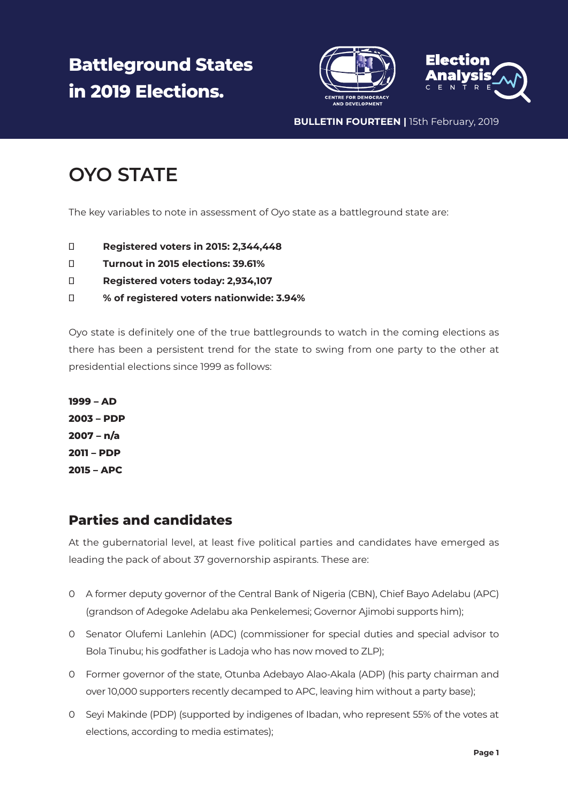# **Battleground States in 2019 Elections.**





**BULLETIN FOURTEEN |** 15th February, 2019

## **OYO STATE**

The key variables to note in assessment of Oyo state as a battleground state are:

**Registered voters in 2015: 2,344,448 Turnout in 2015 elections: 39.61% Registered voters today: 2,934,107 % of registered voters nationwide: 3.94%**

Oyo state is definitely one of the true battlegrounds to watch in the coming elections as there has been a persistent trend for the state to swing from one party to the other at presidential elections since 1999 as follows:

**1999 – AD 2003 – PDP 2007 – n/a 2011 – PDP 2015 – APC**

#### **Parties and candidates**

At the gubernatorial level, at least five political parties and candidates have emerged as leading the pack of about 37 governorship aspirants. These are:

- 0 A former deputy governor of the Central Bank of Nigeria (CBN), Chief Bayo Adelabu (APC) (grandson of Adegoke Adelabu aka Penkelemesi; Governor Ajimobi supports him);
- 0 Senator Olufemi Lanlehin (ADC) (commissioner for special duties and special advisor to Bola Tinubu; his godfather is Ladoja who has now moved to ZLP);
- 0 Former governor of the state, Otunba Adebayo Alao-Akala (ADP) (his party chairman and over 10,000 supporters recently decamped to APC, leaving him without a party base);
- 0 Seyi Makinde (PDP) (supported by indigenes of Ibadan, who represent 55% of the votes at elections, according to media estimates);